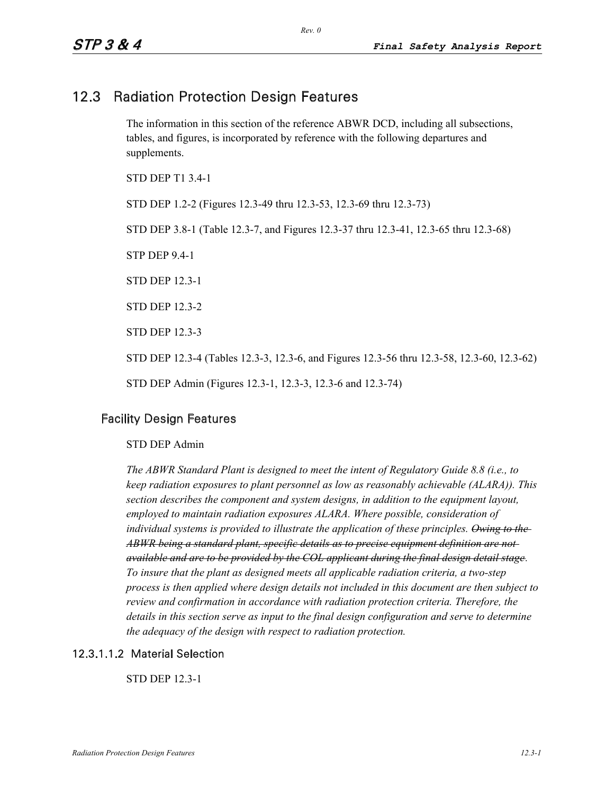# 12.3 Radiation Protection Design Features

The information in this section of the reference ABWR DCD, including all subsections, tables, and figures, is incorporated by reference with the following departures and supplements.

STD DEP T1 3.4-1 STD DEP 1.2-2 (Figures 12.3-49 thru 12.3-53, 12.3-69 thru 12.3-73) STD DEP 3.8-1 (Table 12.3-7, and Figures 12.3-37 thru 12.3-41, 12.3-65 thru 12.3-68) STP DEP 9.4-1 STD DEP 12.3-1 STD DEP 12.3-2 STD DEP 12.3-3 STD DEP 12.3-4 (Tables 12.3-3, 12.3-6, and Figures 12.3-56 thru 12.3-58, 12.3-60, 12.3-62) STD DEP Admin (Figures 12.3-1, 12.3-3, 12.3-6 and 12.3-74)

# Facility Design Features

### STD DEP Admin

*The ABWR Standard Plant is designed to meet the intent of Regulatory Guide 8.8 (i.e., to keep radiation exposures to plant personnel as low as reasonably achievable (ALARA)). This section describes the component and system designs, in addition to the equipment layout, employed to maintain radiation exposures ALARA. Where possible, consideration of individual systems is provided to illustrate the application of these principles. Owing to the ABWR being a standard plant, specific details as to precise equipment definition are not available and are to be provided by the COL applicant during the final design detail stage. To insure that the plant as designed meets all applicable radiation criteria, a two-step process is then applied where design details not included in this document are then subject to review and confirmation in accordance with radiation protection criteria. Therefore, the details in this section serve as input to the final design configuration and serve to determine the adequacy of the design with respect to radiation protection.* 

## 12.3.1.1.2 Material Selection

STD DEP 12.3-1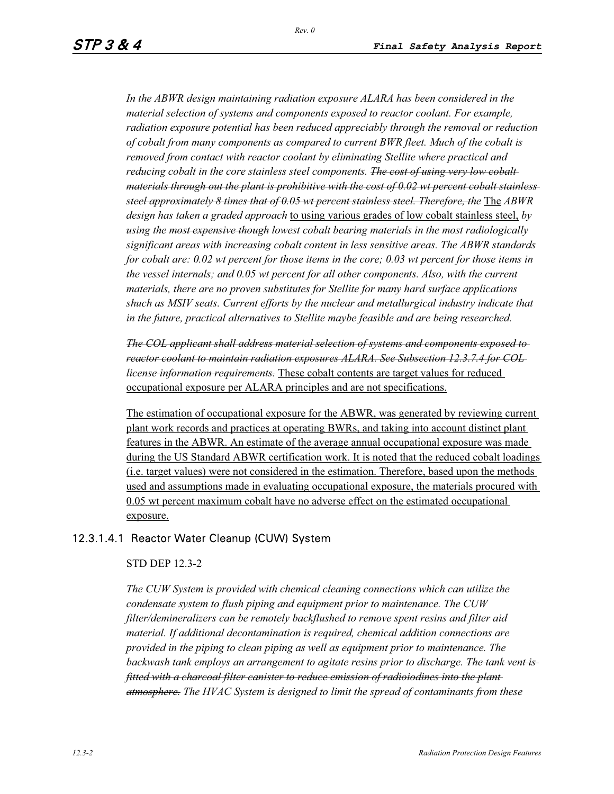*In the ABWR design maintaining radiation exposure ALARA has been considered in the material selection of systems and components exposed to reactor coolant. For example, radiation exposure potential has been reduced appreciably through the removal or reduction of cobalt from many components as compared to current BWR fleet. Much of the cobalt is removed from contact with reactor coolant by eliminating Stellite where practical and reducing cobalt in the core stainless steel components. The cost of using very low cobalt materials through out the plant is prohibitive with the cost of 0.02 wt percent cobalt stainless steel approximately 8 times that of 0.05 wt percent stainless steel. Therefore, the* The *ABWR design has taken a graded approach* to using various grades of low cobalt stainless steel, *by using the most expensive though lowest cobalt bearing materials in the most radiologically significant areas with increasing cobalt content in less sensitive areas. The ABWR standards for cobalt are: 0.02 wt percent for those items in the core; 0.03 wt percent for those items in the vessel internals; and 0.05 wt percent for all other components. Also, with the current materials, there are no proven substitutes for Stellite for many hard surface applications shuch as MSIV seats. Current efforts by the nuclear and metallurgical industry indicate that in the future, practical alternatives to Stellite maybe feasible and are being researched.* 

*The COL applicant shall address material selection of systems and components exposed to reactor coolant to maintain radiation exposures ALARA. See Subsection 12.3.7.4 for COL license information requirements.* These cobalt contents are target values for reduced occupational exposure per ALARA principles and are not specifications.

The estimation of occupational exposure for the ABWR, was generated by reviewing current plant work records and practices at operating BWRs, and taking into account distinct plant features in the ABWR. An estimate of the average annual occupational exposure was made during the US Standard ABWR certification work. It is noted that the reduced cobalt loadings (i.e. target values) were not considered in the estimation. Therefore, based upon the methods used and assumptions made in evaluating occupational exposure, the materials procured with 0.05 wt percent maximum cobalt have no adverse effect on the estimated occupational exposure.

# 12.3.1.4.1 Reactor Water Cleanup (CUW) System

#### STD DEP 12.3-2

*The CUW System is provided with chemical cleaning connections which can utilize the condensate system to flush piping and equipment prior to maintenance. The CUW filter/demineralizers can be remotely backflushed to remove spent resins and filter aid material. If additional decontamination is required, chemical addition connections are provided in the piping to clean piping as well as equipment prior to maintenance. The backwash tank employs an arrangement to agitate resins prior to discharge. The tank vent is fitted with a charcoal filter canister to reduce emission of radioiodines into the plant atmosphere. The HVAC System is designed to limit the spread of contaminants from these*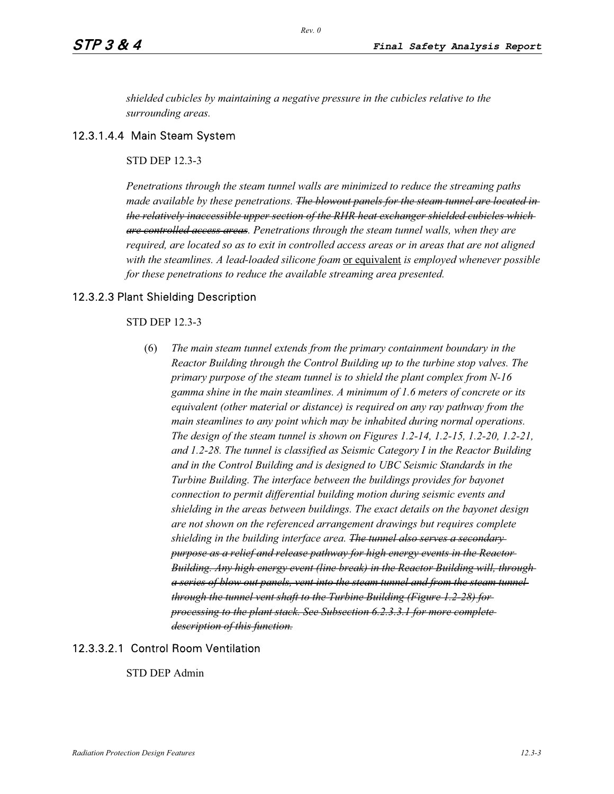*shielded cubicles by maintaining a negative pressure in the cubicles relative to the surrounding areas.* 

## 12.3.1.4.4 Main Steam System

## STD DEP 12.3-3

*Penetrations through the steam tunnel walls are minimized to reduce the streaming paths made available by these penetrations. The blowout panels for the steam tunnel are located in the relatively inaccessible upper section of the RHR heat exchanger shielded cubicles which are controlled access areas. Penetrations through the steam tunnel walls, when they are required, are located so as to exit in controlled access areas or in areas that are not aligned with the steamlines. A lead-loaded silicone foam* or equivalent *is employed whenever possible for these penetrations to reduce the available streaming area presented.* 

## 12.3.2.3 Plant Shielding Description

#### STD DEP 12.3-3

(6) *The main steam tunnel extends from the primary containment boundary in the Reactor Building through the Control Building up to the turbine stop valves. The primary purpose of the steam tunnel is to shield the plant complex from N-16 gamma shine in the main steamlines. A minimum of 1.6 meters of concrete or its equivalent (other material or distance) is required on any ray pathway from the main steamlines to any point which may be inhabited during normal operations. The design of the steam tunnel is shown on Figures 1.2-14, 1.2-15, 1.2-20, 1.2-21, and 1.2-28. The tunnel is classified as Seismic Category I in the Reactor Building and in the Control Building and is designed to UBC Seismic Standards in the Turbine Building. The interface between the buildings provides for bayonet connection to permit differential building motion during seismic events and shielding in the areas between buildings. The exact details on the bayonet design are not shown on the referenced arrangement drawings but requires complete shielding in the building interface area. The tunnel also serves a secondary purpose as a relief and release pathway for high energy events in the Reactor Building. Any high energy event (line break) in the Reactor Building will, through a series of blow out panels, vent into the steam tunnel and from the steam tunnel through the tunnel vent shaft to the Turbine Building (Figure 1.2-28) for processing to the plant stack. See Subsection 6.2.3.3.1 for more complete description of this function.*

# 12.3.3.2.1 Control Room Ventilation

STD DEP Admin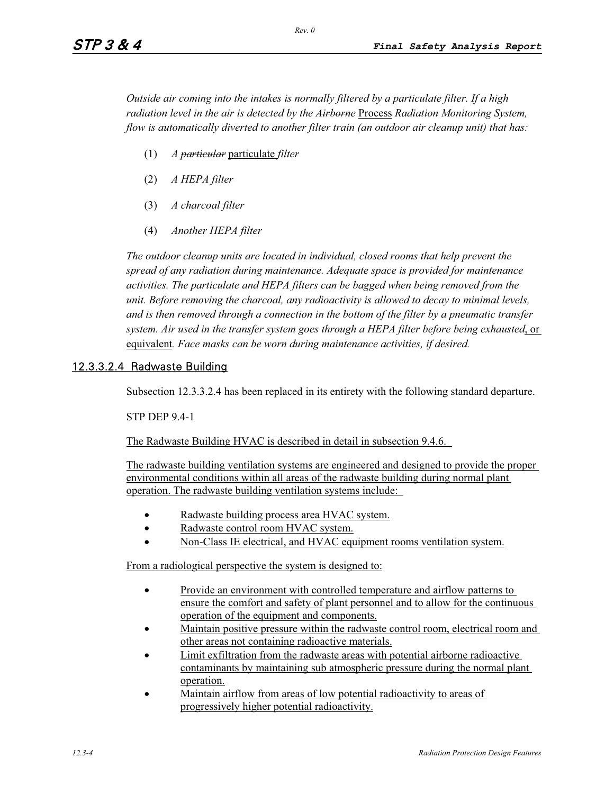*Outside air coming into the intakes is normally filtered by a particulate filter. If a high radiation level in the air is detected by the Airborne* Process *Radiation Monitoring System, flow is automatically diverted to another filter train (an outdoor air cleanup unit) that has:* 

- (1) *A particular* particulate *filter*
- (2) *A HEPA filter*
- (3) *A charcoal filter*
- (4) *Another HEPA filter*

*The outdoor cleanup units are located in individual, closed rooms that help prevent the spread of any radiation during maintenance. Adequate space is provided for maintenance activities. The particulate and HEPA filters can be bagged when being removed from the unit. Before removing the charcoal, any radioactivity is allowed to decay to minimal levels, and is then removed through a connection in the bottom of the filter by a pneumatic transfer system. Air used in the transfer system goes through a HEPA filter before being exhausted*, or equivalent*. Face masks can be worn during maintenance activities, if desired.* 

## 12.3.3.2.4 Radwaste Building

Subsection 12.3.3.2.4 has been replaced in its entirety with the following standard departure.

STP DEP 9.4-1

The Radwaste Building HVAC is described in detail in subsection 9.4.6.

The radwaste building ventilation systems are engineered and designed to provide the proper environmental conditions within all areas of the radwaste building during normal plant operation. The radwaste building ventilation systems include:

- $\bullet$ Radwaste building process area HVAC system.
- $\bullet$ Radwaste control room HVAC system.
- -Non-Class IE electrical, and HVAC equipment rooms ventilation system.

From a radiological perspective the system is designed to:

- - Provide an environment with controlled temperature and airflow patterns to ensure the comfort and safety of plant personnel and to allow for the continuous operation of the equipment and components.
- - Maintain positive pressure within the radwaste control room, electrical room and other areas not containing radioactive materials.
- - Limit exfiltration from the radwaste areas with potential airborne radioactive contaminants by maintaining sub atmospheric pressure during the normal plant operation.
- - Maintain airflow from areas of low potential radioactivity to areas of progressively higher potential radioactivity.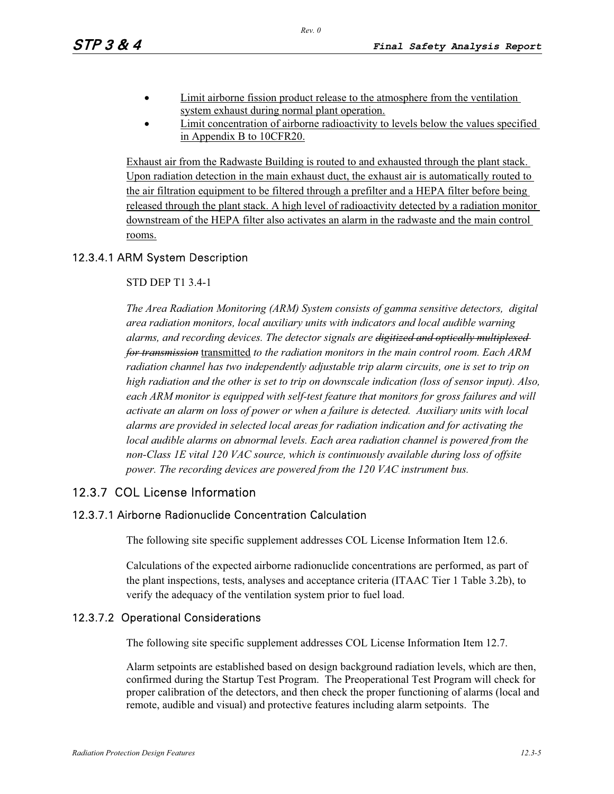- - Limit airborne fission product release to the atmosphere from the ventilation system exhaust during normal plant operation.
- - Limit concentration of airborne radioactivity to levels below the values specified in Appendix B to 10CFR20.

Exhaust air from the Radwaste Building is routed to and exhausted through the plant stack. Upon radiation detection in the main exhaust duct, the exhaust air is automatically routed to the air filtration equipment to be filtered through a prefilter and a HEPA filter before being released through the plant stack. A high level of radioactivity detected by a radiation monitor downstream of the HEPA filter also activates an alarm in the radwaste and the main control rooms.

# 12.3.4.1 ARM System Description

#### STD DEP T1 3.4-1

*The Area Radiation Monitoring (ARM) System consists of gamma sensitive detectors, digital area radiation monitors, local auxiliary units with indicators and local audible warning alarms, and recording devices. The detector signals are digitized and optically multiplexed for transmission* transmitted *to the radiation monitors in the main control room. Each ARM radiation channel has two independently adjustable trip alarm circuits, one is set to trip on high radiation and the other is set to trip on downscale indication (loss of sensor input). Also, each ARM monitor is equipped with self-test feature that monitors for gross failures and will activate an alarm on loss of power or when a failure is detected. Auxiliary units with local alarms are provided in selected local areas for radiation indication and for activating the local audible alarms on abnormal levels. Each area radiation channel is powered from the non-Class 1E vital 120 VAC source, which is continuously available during loss of offsite power. The recording devices are powered from the 120 VAC instrument bus.* 

# 12.3.7 COL License Information

# 12.3.7.1 Airborne Radionuclide Concentration Calculation

The following site specific supplement addresses COL License Information Item 12.6.

Calculations of the expected airborne radionuclide concentrations are performed, as part of the plant inspections, tests, analyses and acceptance criteria (ITAAC Tier 1 Table 3.2b), to verify the adequacy of the ventilation system prior to fuel load.

# 12.3.7.2 Operational Considerations

The following site specific supplement addresses COL License Information Item 12.7.

Alarm setpoints are established based on design background radiation levels, which are then, confirmed during the Startup Test Program. The Preoperational Test Program will check for proper calibration of the detectors, and then check the proper functioning of alarms (local and remote, audible and visual) and protective features including alarm setpoints. The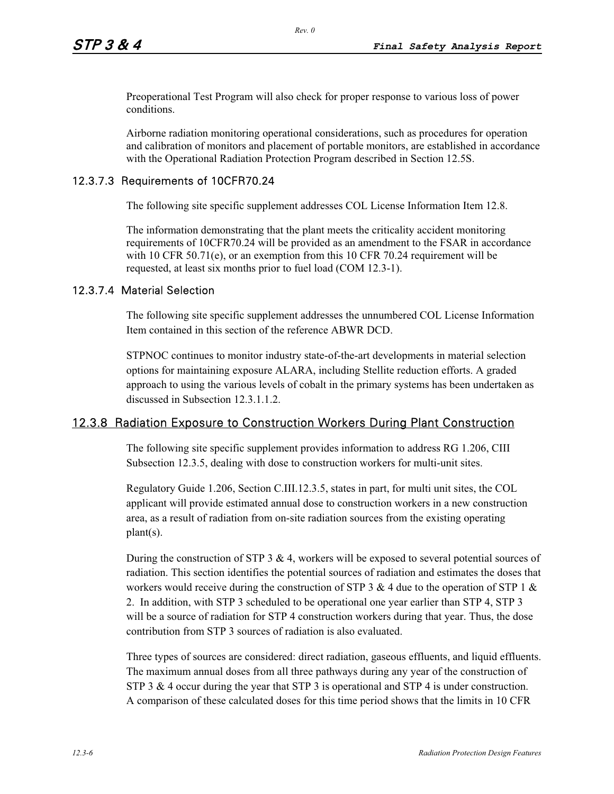Preoperational Test Program will also check for proper response to various loss of power conditions.

Airborne radiation monitoring operational considerations, such as procedures for operation and calibration of monitors and placement of portable monitors, are established in accordance with the Operational Radiation Protection Program described in Section 12.5S.

## 12.3.7.3 Requirements of 10CFR70.24

The following site specific supplement addresses COL License Information Item 12.8.

The information demonstrating that the plant meets the criticality accident monitoring requirements of 10CFR70.24 will be provided as an amendment to the FSAR in accordance with 10 CFR 50.71(e), or an exemption from this 10 CFR 70.24 requirement will be requested, at least six months prior to fuel load (COM 12.3-1).

## 12.3.7.4 Material Selection

The following site specific supplement addresses the unnumbered COL License Information Item contained in this section of the reference ABWR DCD.

STPNOC continues to monitor industry state-of-the-art developments in material selection options for maintaining exposure ALARA, including Stellite reduction efforts. A graded approach to using the various levels of cobalt in the primary systems has been undertaken as discussed in Subsection 12.3.1.1.2.

# 12.3.8 Radiation Exposure to Construction Workers During Plant Construction

The following site specific supplement provides information to address RG 1.206, CIII Subsection 12.3.5, dealing with dose to construction workers for multi-unit sites.

Regulatory Guide 1.206, Section C.III.12.3.5, states in part, for multi unit sites, the COL applicant will provide estimated annual dose to construction workers in a new construction area, as a result of radiation from on-site radiation sources from the existing operating plant(s).

During the construction of STP 3  $\&$  4, workers will be exposed to several potential sources of radiation. This section identifies the potential sources of radiation and estimates the doses that workers would receive during the construction of STP 3 & 4 due to the operation of STP 1 & 2. In addition, with STP 3 scheduled to be operational one year earlier than STP 4, STP 3 will be a source of radiation for STP 4 construction workers during that year. Thus, the dose contribution from STP 3 sources of radiation is also evaluated.

Three types of sources are considered: direct radiation, gaseous effluents, and liquid effluents. The maximum annual doses from all three pathways during any year of the construction of STP 3 & 4 occur during the year that STP 3 is operational and STP 4 is under construction. A comparison of these calculated doses for this time period shows that the limits in 10 CFR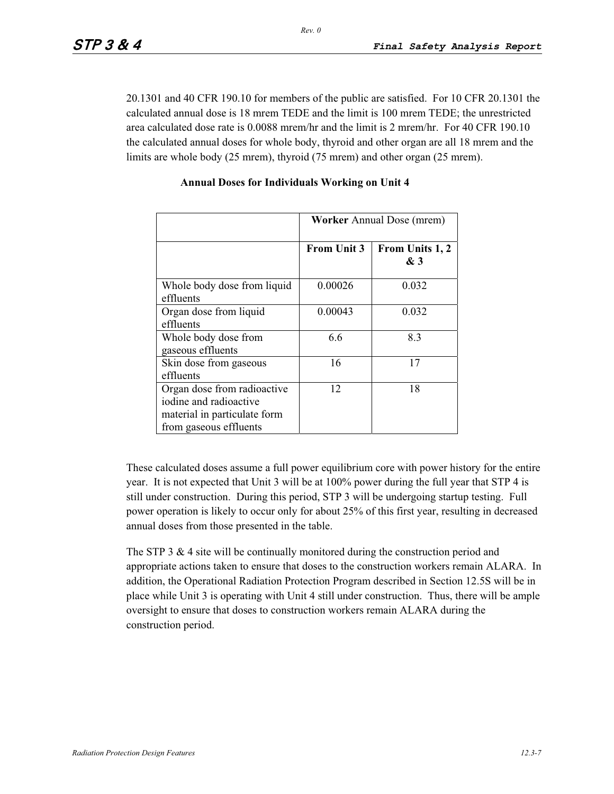20.1301 and 40 CFR 190.10 for members of the public are satisfied. For 10 CFR 20.1301 the calculated annual dose is 18 mrem TEDE and the limit is 100 mrem TEDE; the unrestricted area calculated dose rate is 0.0088 mrem/hr and the limit is 2 mrem/hr. For 40 CFR 190.10 the calculated annual doses for whole body, thyroid and other organ are all 18 mrem and the limits are whole body (25 mrem), thyroid (75 mrem) and other organ (25 mrem).

|                                                                                                                 | <b>Worker Annual Dose (mrem)</b> |                        |  |
|-----------------------------------------------------------------------------------------------------------------|----------------------------------|------------------------|--|
|                                                                                                                 | <b>From Unit 3</b>               | From Units 1, 2<br>& 3 |  |
| Whole body dose from liquid<br>effluents                                                                        | 0.00026                          | 0.032                  |  |
| Organ dose from liquid<br>effluents                                                                             | 0.00043                          | 0.032                  |  |
| Whole body dose from<br>gaseous effluents                                                                       | 6.6                              | 8.3                    |  |
| Skin dose from gaseous<br>effluents                                                                             | 16                               | 17                     |  |
| Organ dose from radioactive<br>iodine and radioactive<br>material in particulate form<br>from gaseous effluents | 12                               | 18                     |  |

#### **Annual Doses for Individuals Working on Unit 4**

These calculated doses assume a full power equilibrium core with power history for the entire year. It is not expected that Unit 3 will be at 100% power during the full year that STP 4 is still under construction. During this period, STP 3 will be undergoing startup testing. Full power operation is likely to occur only for about 25% of this first year, resulting in decreased annual doses from those presented in the table.

The STP 3  $\&$  4 site will be continually monitored during the construction period and appropriate actions taken to ensure that doses to the construction workers remain ALARA. In addition, the Operational Radiation Protection Program described in Section 12.5S will be in place while Unit 3 is operating with Unit 4 still under construction. Thus, there will be ample oversight to ensure that doses to construction workers remain ALARA during the construction period.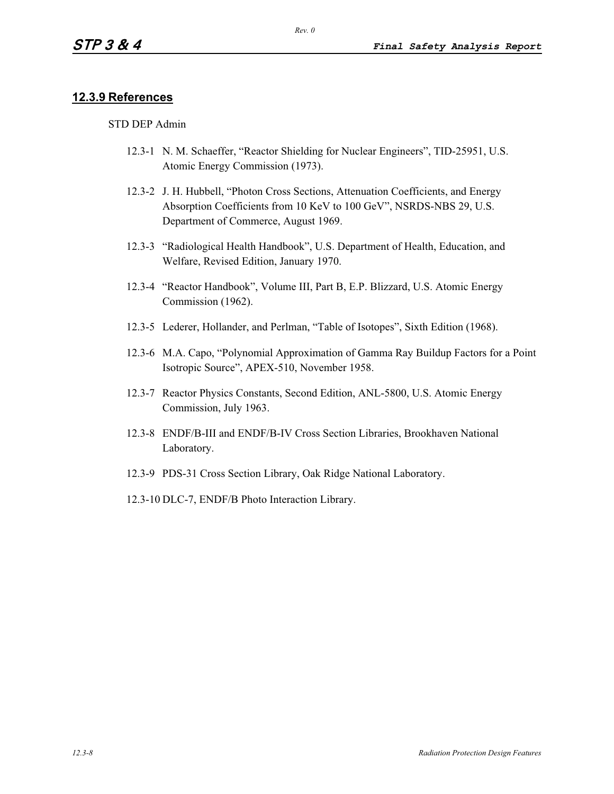# **12.3.9 References**

#### STD DEP Admin

- 12.3-1 N. M. Schaeffer, "Reactor Shielding for Nuclear Engineers", TID-25951, U.S. Atomic Energy Commission (1973).
- 12.3-2 J. H. Hubbell, "Photon Cross Sections, Attenuation Coefficients, and Energy Absorption Coefficients from 10 KeV to 100 GeV", NSRDS-NBS 29, U.S. Department of Commerce, August 1969.
- 12.3-3 "Radiological Health Handbook", U.S. Department of Health, Education, and Welfare, Revised Edition, January 1970.
- 12.3-4 "Reactor Handbook", Volume III, Part B, E.P. Blizzard, U.S. Atomic Energy Commission (1962).
- 12.3-5 Lederer, Hollander, and Perlman, "Table of Isotopes", Sixth Edition (1968).
- 12.3-6 M.A. Capo, "Polynomial Approximation of Gamma Ray Buildup Factors for a Point Isotropic Source", APEX-510, November 1958.
- 12.3-7 Reactor Physics Constants, Second Edition, ANL-5800, U.S. Atomic Energy Commission, July 1963.
- 12.3-8 ENDF/B-III and ENDF/B-IV Cross Section Libraries, Brookhaven National Laboratory.
- 12.3-9 PDS-31 Cross Section Library, Oak Ridge National Laboratory.
- 12.3-10 DLC-7, ENDF/B Photo Interaction Library.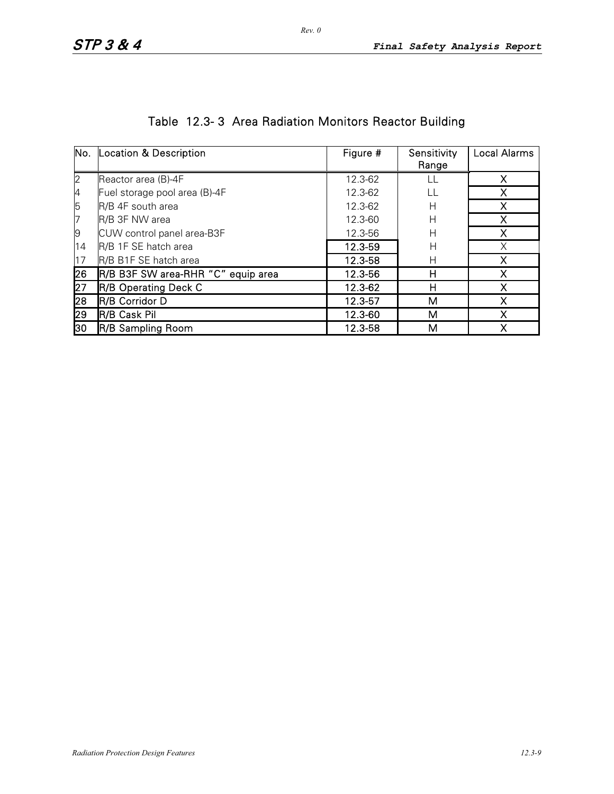|    | No. Location & Description         | Figure # | Sensitivity | <b>Local Alarms</b> |
|----|------------------------------------|----------|-------------|---------------------|
|    |                                    |          | Range       |                     |
| 2  | Reactor area (B)-4F                | 12.3-62  |             | x                   |
| 4  | Fuel storage pool area (B)-4F      | 12.3-62  | LL          |                     |
| 5  | R/B 4F south area                  | 12.3-62  | Н           |                     |
| 7  | R/B 3F NW area                     | 12.3-60  | Н           | x                   |
| 9  | CUW control panel area-B3F         | 12.3-56  | H           |                     |
| 14 | R/B 1F SE hatch area               | 12.3-59  | Н           |                     |
| 17 | R/B B1F SE hatch area              | 12.3-58  | Н           | x                   |
| 26 | R/B B3F SW area-RHR "C" equip area | 12.3-56  | Н           |                     |
| 27 | <b>R/B Operating Deck C</b>        | 12.3-62  | н           |                     |
| 28 | R/B Corridor D                     | 12.3-57  | м           |                     |
| 29 | R/B Cask Pil                       | 12.3-60  | М           |                     |
| 30 | <b>R/B Sampling Room</b>           | 12.3-58  | м           |                     |

# Table 12.3- 3 Area Radiation Monitors Reactor Building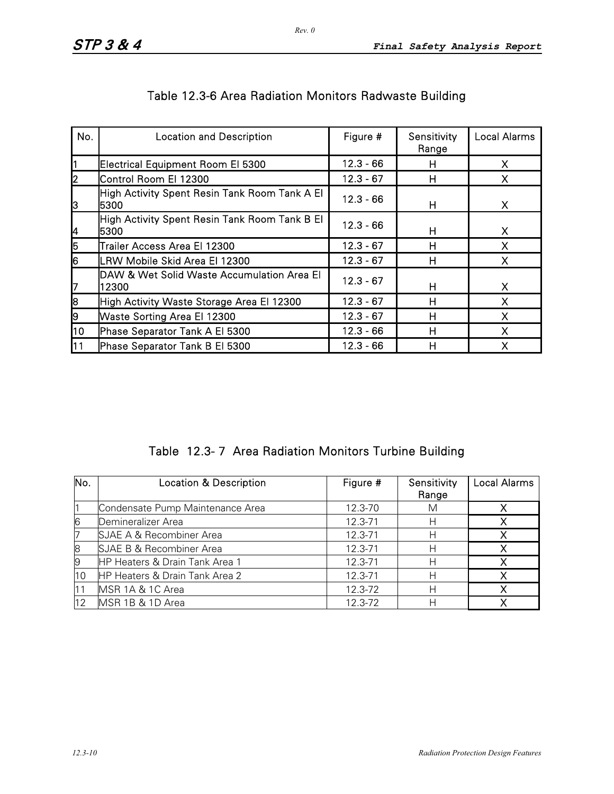| No. | <b>Location and Description</b>                       | Figure #    | Sensitivity<br>Range | <b>Local Alarms</b> |
|-----|-------------------------------------------------------|-------------|----------------------|---------------------|
|     | Electrical Equipment Room El 5300                     | $12.3 - 66$ | н                    | X                   |
| 12  | Control Room El 12300                                 | $12.3 - 67$ | н                    | X                   |
| ß   | High Activity Spent Resin Tank Room Tank A El<br>5300 | $12.3 - 66$ | н                    | X                   |
| 4   | High Activity Spent Resin Tank Room Tank B El<br>5300 | $12.3 - 66$ | н                    | X                   |
| 5   | Trailer Access Area El 12300                          | $12.3 - 67$ | н                    | x                   |
| l6  | LRW Mobile Skid Area El 12300                         | $12.3 - 67$ | н                    | x                   |
| 17  | DAW & Wet Solid Waste Accumulation Area El<br>12300   | $12.3 - 67$ | н                    | X                   |
| 8   | High Activity Waste Storage Area El 12300             | $12.3 - 67$ | н                    | X                   |
| 9   | <b>Waste Sorting Area El 12300</b>                    | $12.3 - 67$ | н                    |                     |
| 10  | Phase Separator Tank A El 5300                        | $12.3 - 66$ | н                    | X                   |
| 11  | Phase Separator Tank B El 5300                        | $12.3 - 66$ | Н                    | x                   |

# Table 12.3-6 Area Radiation Monitors Radwaste Building

Table 12.3- 7 Area Radiation Monitors Turbine Building

| No. | <b>Location &amp; Description</b>         | Figure #    | Sensitivity<br>Range | <b>Local Alarms</b> |
|-----|-------------------------------------------|-------------|----------------------|---------------------|
|     | Condensate Pump Maintenance Area          | 12.3-70     | M                    |                     |
| 6   | Demineralizer Area                        | 12.3-71     | н                    |                     |
|     | SJAE A & Recombiner Area                  | 12.3-71     |                      |                     |
| 8   | SJAE B & Recombiner Area                  | 12.3-71     |                      |                     |
| 9   | HP Heaters & Drain Tank Area 1            | 12.3-71     | н                    |                     |
| 10  | <b>HP Heaters &amp; Drain Tank Area 2</b> | 12.3-71     | Н                    |                     |
|     | MSR 1A & 1C Area                          | $12.3 - 72$ | Н                    |                     |
|     | MSR 1B & 1D Area                          | 12.3-72     |                      |                     |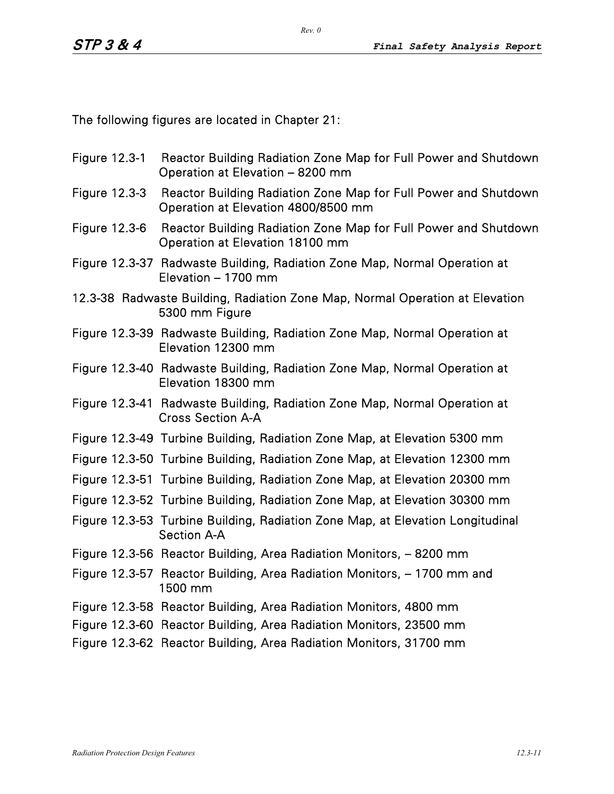The following figures are located in Chapter 21:

- Figure 12.3-1 Reactor Building Radiation Zone Map for Full Power and Shutdown Operation at Elevation – 8200 mm
- Figure 12.3-3 Reactor Building Radiation Zone Map for Full Power and Shutdown Operation at Elevation 4800/8500 mm
- Figure 12.3-6 Reactor Building Radiation Zone Map for Full Power and Shutdown Operation at Elevation 18100 mm
- Figure 12.3-37 Radwaste Building, Radiation Zone Map, Normal Operation at Elevation – 1700 mm
- 12.3-38 Radwaste Building, Radiation Zone Map, Normal Operation at Elevation 5300 mm Figure
- Figure 12.3-39 Radwaste Building, Radiation Zone Map, Normal Operation at Elevation 12300 mm
- Figure 12.3-40 Radwaste Building, Radiation Zone Map, Normal Operation at Elevation 18300 mm
- Figure 12.3-41 Radwaste Building, Radiation Zone Map, Normal Operation at Cross Section A-A
- Figure 12.3-49 Turbine Building, Radiation Zone Map, at Elevation 5300 mm
- Figure 12.3-50 Turbine Building, Radiation Zone Map, at Elevation 12300 mm
- Figure 12.3-51 Turbine Building, Radiation Zone Map, at Elevation 20300 mm
- Figure 12.3-52 Turbine Building, Radiation Zone Map, at Elevation 30300 mm
- Figure 12.3-53 Turbine Building, Radiation Zone Map, at Elevation Longitudinal Section A-A
- Figure 12.3-56 Reactor Building, Area Radiation Monitors, 8200 mm
- Figure 12.3-57 Reactor Building, Area Radiation Monitors, 1700 mm and 1500 mm
- Figure 12.3-58 Reactor Building, Area Radiation Monitors, 4800 mm
- Figure 12.3-60 Reactor Building, Area Radiation Monitors, 23500 mm
- Figure 12.3-62 Reactor Building, Area Radiation Monitors, 31700 mm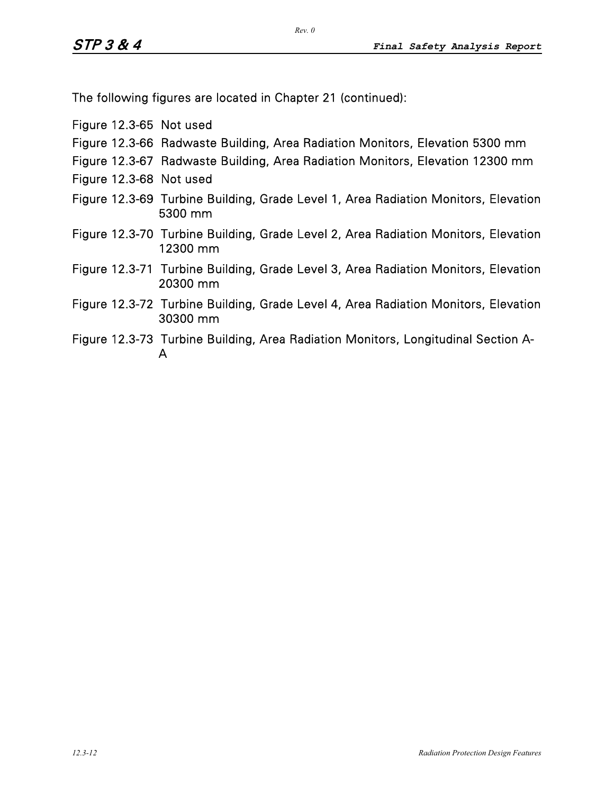The following figures are located in Chapter 21 (continued):

Figure 12.3-65 Not used

- Figure 12.3-66 Radwaste Building, Area Radiation Monitors, Elevation 5300 mm
- Figure 12.3-67 Radwaste Building, Area Radiation Monitors, Elevation 12300 mm
- Figure 12.3-68 Not used
- Figure 12.3-69 Turbine Building, Grade Level 1, Area Radiation Monitors, Elevation 5300 mm
- Figure 12.3-70 Turbine Building, Grade Level 2, Area Radiation Monitors, Elevation 12300 mm
- Figure 12.3-71 Turbine Building, Grade Level 3, Area Radiation Monitors, Elevation 20300 mm
- Figure 12.3-72 Turbine Building, Grade Level 4, Area Radiation Monitors, Elevation 30300 mm
- Figure 12.3-73 Turbine Building, Area Radiation Monitors, Longitudinal Section A-A